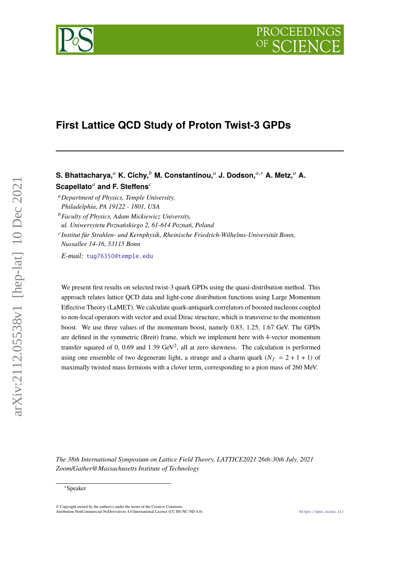# **First Lattice QCD Study of Proton Twist-3 GPDs**

S. Bhattacharya,<sup>*a*</sup> K. Cichy,<sup>*b*</sup> M. Constantinou,<sup>*a*</sup> J. Dodson,<sup>*a*,∗</sup> A. Metz,<sup>*a*</sup> A. **Scapellato<sup>a</sup> and F. Steffens**<sup>c</sup>

*Department of Physics, Temple University, Philadelphia, PA 19122 - 1801, USA*

*Faculty of Physics, Adam Mickiewicz University, ul. Uniwersytetu Poznańskiego 2, 61-614 Poznań, Poland*

 *Institut für Strahlen- und Kernphysik, Rheinische Friedrich-Wilhelms-Universität Bonn, Nussallee 14-16, 53115 Bonn*

*E-mail:* [tug76350@temple.edu](mailto:tug76350@temple.edu)

We present first results on selected twist-3 quark GPDs using the quasi-distribution method. This approach relates lattice QCD data and light-cone distribution functions using Large Momentum Effective Theory (LaMET). We calculate quark-antiquark correlators of boosted nucleons coupled to non-local operators with vector and axial Dirac structure, which is transverse to the momentum boost. We use three values of the momentum boost, namely 0.83, 1.25, 1.67 GeV. The GPDs are defined in the symmetric (Breit) frame, which we implement here with 4-vector momentum transfer squared of 0, 0.69 and 1.39 GeV<sup>2</sup>, all at zero skewness. The calculation is performed using one ensemble of two degenerate light, a strange and a charm quark  $(N_f = 2 + 1 + 1)$  of maximally twisted mass fermions with a clover term, corresponding to a pion mass of 260 MeV.

*The 38th International Symposium on Lattice Field Theory, LATTICE2021 26th-30th July, 2021 Zoom/Gather@Massachusetts Institute of Technology*



<sup>∗</sup>Speaker

 $\odot$  Copyright owned by the author(s) under the terms of the Creative Common Attribution-NonCommercial-NoDerivatives 4.0 International License (CC BY-NC-ND 4.0). <https://pos.sissa.it/>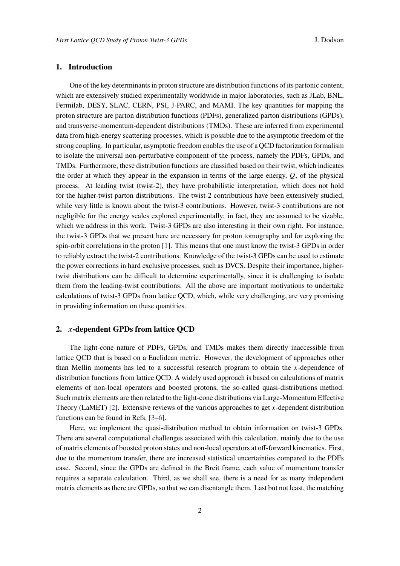# **1. Introduction**

One of the key determinants in proton structure are distribution functions of its partonic content, which are extensively studied experimentally worldwide in major laboratories, such as JLab, BNL, Fermilab, DESY, SLAC, CERN, PSI, J-PARC, and MAMI. The key quantities for mapping the proton structure are parton distribution functions (PDFs), generalized parton distributions (GPDs), and transverse-momentum-dependent distributions (TMDs). These are inferred from experimental data from high-energy scattering processes, which is possible due to the asymptotic freedom of the strong coupling. In particular, asymptotic freedom enables the use of a QCD factorization formalism to isolate the universal non-perturbative component of the process, namely the PDFs, GPDs, and TMDs. Furthermore, these distribution functions are classified based on their twist, which indicates the order at which they appear in the expansion in terms of the large energy,  $Q$ , of the physical process. At leading twist (twist-2), they have probabilistic interpretation, which does not hold for the higher-twist parton distributions. The twist-2 contributions have been extensively studied, while very little is known about the twist-3 contributions. However, twist-3 contributions are not negligible for the energy scales explored experimentally; in fact, they are assumed to be sizable, which we address in this work. Twist-3 GPDs are also interesting in their own right. For instance, the twist-3 GPDs that we present here are necessary for proton tomography and for exploring the spin-orbit correlations in the proton [\[1\]](#page-8-0). This means that one must know the twist-3 GPDs in order to reliably extract the twist-2 contributions. Knowledge of the twist-3 GPDs can be used to estimate the power corrections in hard exclusive processes, such as DVCS. Despite their importance, highertwist distributions can be difficult to determine experimentally, since it is challenging to isolate them from the leading-twist contributions. All the above are important motivations to undertake calculations of twist-3 GPDs from lattice QCD, which, while very challenging, are very promising in providing information on these quantities.

# **2. -dependent GPDs from lattice QCD**

The light-cone nature of PDFs, GPDs, and TMDs makes them directly inaccessible from lattice QCD that is based on a Euclidean metric. However, the development of approaches other than Mellin moments has led to a successful research program to obtain the x-dependence of distribution functions from lattice QCD. A widely used approach is based on calculations of matrix elements of non-local operators and boosted protons, the so-called quasi-distributions method. Such matrix elements are then related to the light-cone distributions via Large-Momentum Effective Theory (LaMET) [\[2\]](#page-8-1). Extensive reviews of the various approaches to get  $x$ -dependent distribution functions can be found in Refs. [\[3–](#page-8-2)[6\]](#page-8-3).

Here, we implement the quasi-distribution method to obtain information on twist-3 GPDs. There are several computational challenges associated with this calculation, mainly due to the use of matrix elements of boosted proton states and non-local operators at off-forward kinematics. First, due to the momentum transfer, there are increased statistical uncertainties compared to the PDFs case. Second, since the GPDs are defined in the Breit frame, each value of momentum transfer requires a separate calculation. Third, as we shall see, there is a need for as many independent matrix elements as there are GPDs, so that we can disentangle them. Last but not least, the matching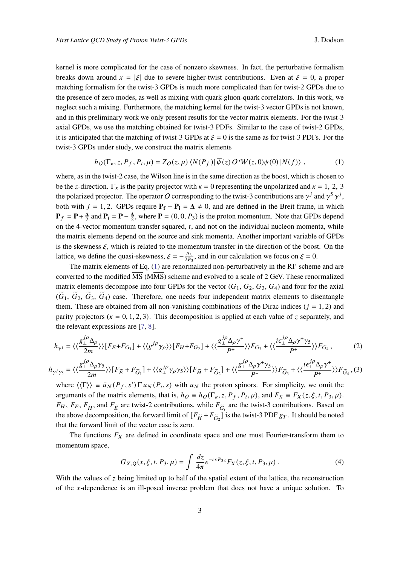kernel is more complicated for the case of nonzero skewness. In fact, the perturbative formalism breaks down around  $x = |\xi|$  due to severe higher-twist contributions. Even at  $\xi = 0$ , a proper matching formalism for the twist-3 GPDs is much more complicated than for twist-2 GPDs due to the presence of zero modes, as well as mixing with quark-gluon-quark correlators. In this work, we neglect such a mixing. Furthermore, the matching kernel for the twist-3 vector GPDs is not known, and in this preliminary work we only present results for the vector matrix elements. For the twist-3 axial GPDs, we use the matching obtained for twist-3 PDFs. Similar to the case of twist-2 GPDs, it is anticipated that the matching of twist-3 GPDs at  $\xi = 0$  is the same as for twist-3 PDFs. For the twist-3 GPDs under study, we construct the matrix elements

<span id="page-2-0"></span>
$$
h_O(\Gamma_{\kappa}, z, P_f, P_i, \mu) = Z_O(z, \mu) \langle N(P_f) | \overline{\psi}(z) O \mathcal{W}(z, 0) \psi(0) | N(f) \rangle , \qquad (1)
$$

where, as in the twist-2 case, the Wilson line is in the same direction as the boost, which is chosen to be the z-direction.  $\Gamma_k$  is the parity projector with  $\kappa = 0$  representing the unpolarized and  $\kappa = 1, 2, 3$ the polarized projector. The operator O corresponding to the twist-3 contributions are  $\gamma^j$  and  $\gamma^5 \gamma^j$ , both with  $j = 1, 2$ . GPDs require  $P_f - P_i = \Delta \neq 0$ , and are defined in the Breit frame, in which  $P_f = P + \frac{\Delta}{2}$  and  $P_i = P - \frac{\Delta}{2}$ , where  $P = (0, 0, P_3)$  is the proton momentum. Note that GPDs depend on the 4-vector momentum transfer squared,  $t$ , and not on the individual nucleon momenta, while the matrix elements depend on the source and sink momenta. Another important variable of GPDs is the skewness  $\xi$ , which is related to the momentum transfer in the direction of the boost. On the lattice, we define the quasi-skewness,  $\xi = -\frac{\Delta_3}{2P_3}$ , and in our calculation we focus on  $\xi = 0$ .

The matrix elements of Eq. [\(1\)](#page-2-0) are renormalized non-perturbatively in the RI' scheme and are converted to the modified MS (MMS) scheme and evolved to a scale of 2 GeV. These renormalized matrix elements decompose into four GPDs for the vector  $(G_1, G_2, G_3, G_4)$  and four for the axial  $(\tilde{G}_1, \tilde{G}_2, \tilde{G}_3, \tilde{G}_4)$  case. Therefore, one needs four independent matrix elements to disentangle them. These are obtained from all non-vanishing combinations of the Dirac indices  $(j = 1, 2)$  and parity projectors ( $\kappa = 0, 1, 2, 3$ ). This decomposition is applied at each value of z separately, and the relevant expressions are [\[7,](#page-8-4) [8\]](#page-8-5).

<span id="page-2-1"></span>
$$
h_{\gamma^{j}} = \langle \langle \frac{g_{\perp}^{j\rho} \Delta_{\rho}}{2m} \rangle \rangle [F_{E} + F_{G_{1}}] + \langle \langle g_{\perp}^{j\rho} \gamma_{\rho} \rangle \rangle [F_{H} + F_{G_{2}}] + \langle \langle \frac{g_{\perp}^{j\rho} \Delta_{\rho} \gamma^{+}}{P^{+}} \rangle \rangle F_{G_{3}} + \langle \langle \frac{i\epsilon_{\perp}^{j\rho} \Delta_{\rho} \gamma^{+} \gamma_{5}}{P^{+}} \rangle \rangle F_{G_{4}},
$$
\n
$$
h_{\gamma^{j}\gamma_{5}} = \langle \langle \frac{g_{\perp}^{j\rho} \Delta_{\rho} \gamma_{5}}{2m} \rangle \rangle [F_{\widetilde{E}} + F_{\widetilde{G}_{1}}] + \langle \langle g_{\perp}^{j\rho} \gamma_{\rho} \gamma_{5} \rangle \rangle [F_{\widetilde{H}} + F_{\widetilde{G}_{2}}] + \langle \langle \frac{g_{\perp}^{j\rho} \Delta_{\rho} \gamma^{+} \gamma_{5}}{P^{+}} \rangle \rangle F_{\widetilde{G}_{3}} + \langle \langle \frac{i\epsilon_{\perp}^{j\rho} \Delta_{\rho} \gamma^{+}}{P^{+}} \rangle \rangle F_{\widetilde{G}_{4}},
$$
\n
$$
(3)
$$

where  $\langle \langle \Gamma \rangle \rangle = \bar{u}_N (P_f, s') \Gamma u_N (P_i, s)$  with  $u_N$  the proton spinors. For simplicity, we omit the arguments of the matrix elements, that is,  $h_O \equiv h_O(\Gamma_{\kappa}, z, P_f, P_i, \mu)$ , and  $F_X \equiv F_X(z, \xi, t, P_3, \mu)$ .  $F_H$ ,  $F_E$ ,  $F_{\tilde{H}}$ , and  $F_{\tilde{E}}$  are twist-2 contributions, while  $F_{\tilde{G}_i}$  are the twist-3 contributions. Based on the above decomposition, the forward limit of  $[F_{\tilde{H}} + F_{\tilde{G}_2}]$  is the twist-3 PDF  $g_T$ . It should be noted that the forward limit of the vector case is zero.

The functions  $F_X$  are defined in coordinate space and one must Fourier-transform them to momentum space,

$$
G_{X,Q}(x,\xi,t,P_3,\mu) = \int \frac{dz}{4\pi} e^{-ixP_3z} F_X(z,\xi,t,P_3,\mu) \,. \tag{4}
$$

With the values of  $\zeta$  being limited up to half of the spatial extent of the lattice, the reconstruction of the  $x$ -dependence is an ill-posed inverse problem that does not have a unique solution. To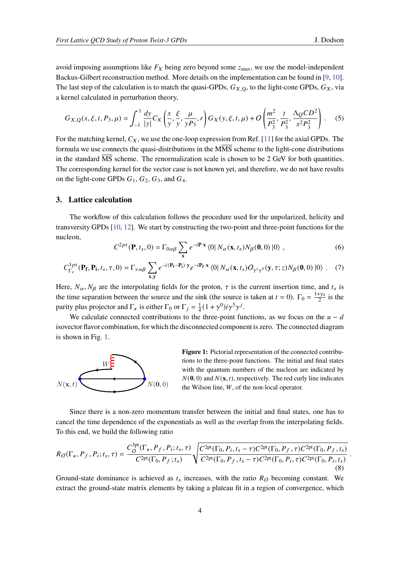avoid imposing assumptions like  $F_X$  being zero beyond some  $z_{\text{max}}$ , we use the model-independent Backus-Gilbert reconstruction method. More details on the implementation can be found in [\[9,](#page-8-6) [10\]](#page-8-7).

The last step of the calculation is to match the quasi-GPDs,  $G_{X,Q}$ , to the light-cone GPDs,  $G_X$ , via a kernel calculated in perturbation theory,

$$
G_{X,Q}(x,\xi,t,P_3,\mu) = \int_{-1}^{1} \frac{dy}{|y|} C_X\left(\frac{x}{y}, \frac{\xi}{y}, \frac{\mu}{yP_3}, r\right) G_X(y,\xi,t,\mu) + O\left(\frac{m^2}{P_3^2}, \frac{t}{P_3^2}, \frac{\Lambda_Q CD^2}{x^2 P_3^2}\right).
$$
 (5)

For the matching kernel,  $C_X$ , we use the one-loop expression from Ref. [\[11\]](#page-8-8) for the axial GPDs. The formula we use connects the quasi-distributions in the MMS scheme to the light-cone distributions in the standard  $\overline{\text{MS}}$  scheme. The renormalization scale is chosen to be 2 GeV for both quantities. The corresponding kernel for the vector case is not known yet, and therefore, we do not have results on the light-cone GPDs  $G_1$ ,  $G_2$ ,  $G_3$ , and  $G_4$ .

## **3. Lattice calculation**

The workflow of this calculation follows the procedure used for the unpolarized, helicity and transversity GPDs [\[10,](#page-8-7) [12\]](#page-8-9). We start by constructing the two-point and three-point functions for the nucleon,

$$
C^{2pt}(\mathbf{P},t_s,0) = \Gamma_{0\alpha\beta} \sum_{\mathbf{x}} e^{-i\mathbf{P}\cdot\mathbf{x}} \langle 0| N_{\alpha}(\mathbf{x},t_s) N_{\beta}(\mathbf{0},0) |0\rangle , \qquad (6)
$$

$$
C_{\Gamma_{\nu}}^{3pt}(\mathbf{P_f}, \mathbf{P_i}, t_s, \tau, 0) = \Gamma_{\nu\alpha\beta} \sum_{\mathbf{x}, \mathbf{y}} e^{-i(\mathbf{P_f} - \mathbf{P_i}) \cdot \mathbf{y}} e^{-i\mathbf{P_f} \cdot \mathbf{x}} \langle 0| N_{\alpha}(\mathbf{x}, t_s) O_{\gamma^i \gamma^5}(\mathbf{y}, \tau; z) N_{\beta}(\mathbf{0}, 0) |0 \rangle . \tag{7}
$$

Here,  $N_{\alpha}$ ,  $N_{\beta}$  are the interpolating fields for the proton,  $\tau$  is the current insertion time, and  $t_s$  is the time separation between the source and the sink (the source is taken at  $t = 0$ ).  $\Gamma_0 = \frac{1+\gamma_4}{2}$  is the parity plus projector and  $\Gamma_k$  is either  $\Gamma_0$  or  $\Gamma_i = \frac{1}{4}$  $\frac{1}{4}(1+\gamma^0)i\gamma^5\gamma^j$ .

We calculate connected contributions to the three-point functions, as we focus on the  $u - d$ isovector flavor combination, for which the disconnected component is zero. The connected diagram is shown in Fig. [1.](#page-3-0)

<span id="page-3-0"></span>

**Figure 1:** Pictorial representation of the connected contributions to the three-point functions. The initial and final states with the quantum numbers of the nucleon are indicated by  $N(\mathbf{0}, 0)$  and  $N(\mathbf{x}, t)$ , respectively. The red curly line indicates the Wilson line,  $W$ , of the non-local operator.

.

Since there is a non-zero momentum transfer between the initial and final states, one has to cancel the time dependence of the exponentials as well as the overlap from the interpolating fields. To this end, we build the following ratio

$$
R_O(\Gamma_{\kappa}, P_f, P_i; t_s, \tau) = \frac{C_O^{3pt}(\Gamma_{\kappa}, P_f, P_i; t_s, \tau)}{C_{\kappa}^{2pt}(\Gamma_0, P_f; t_s)} \sqrt{\frac{C_{\kappa}^{2pt}(\Gamma_0, P_i, t_s - \tau) C_{\kappa}^{2pt}(\Gamma_0, P_f, \tau) C_{\kappa}^{2pt}(\Gamma_0, P_f, t_s)}{C_{\kappa}^{2pt}(\Gamma_0, P_f, t_s - \tau) C_{\kappa}^{2pt}(\Gamma_0, P_i, \tau) C_{\kappa}^{2pt}(\Gamma_0, P_i, t_s)}}
$$
\n(8)

Ground-state dominance is achieved as  $t_s$  increases, with the ratio  $R<sub>O</sub>$  becoming constant. We extract the ground-state matrix elements by taking a plateau fit in a region of convergence, which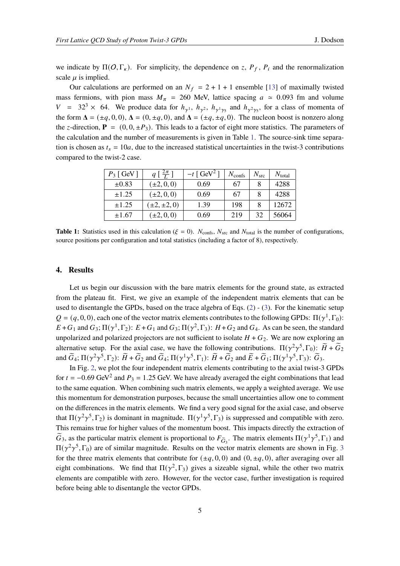we indicate by  $\Pi(O,\Gamma_{\kappa})$ . For simplicity, the dependence on z,  $P_f$ ,  $P_i$  and the renormalization scale  $\mu$  is implied.

Our calculations are performed on an  $N_f = 2 + 1 + 1$  ensemble [\[13\]](#page-8-10) of maximally twisted mass fermions, with pion mass  $M_{\pi}$  = 260 MeV, lattice spacing  $a \approx 0.093$  fm and volume  $V = 32<sup>3</sup> \times 64$ . We produce data for  $h_{\gamma^1}$ ,  $h_{\gamma^2}$ ,  $h_{\gamma^1 \gamma_5}$  and  $h_{\gamma^2 \gamma_5}$ , for a class of momenta of the form  $\Delta = (\pm q, 0, 0), \Delta = (0, \pm q, 0),$  and  $\Delta = (\pm q, \pm q, 0)$ . The nucleon boost is nonzero along the z-direction,  $P = (0, 0, \pm P_3)$ . This leads to a factor of eight more statistics. The parameters of the calculation and the number of measurements is given in Table [1.](#page-4-0) The source-sink time separation is chosen as  $t_s = 10a$ , due to the increased statistical uncertainties in the twist-3 contributions compared to the twist-2 case.

<span id="page-4-0"></span>

| $P_3$ [ GeV ] | $q\left[\frac{2\pi}{l}\right]$ | $-t$ [ GeV <sup>2</sup> ] | $N_{\text{confs}}$ | $N_{\rm src}$ | $N_{\text{total}}$ |
|---------------|--------------------------------|---------------------------|--------------------|---------------|--------------------|
| $\pm 0.83$    | $(\pm 2, 0, 0)$                | 0.69                      | 67                 |               | 4288               |
| $\pm 1.25$    | $(\pm 2, 0, 0)$                | 0.69                      | 67                 |               | 4288               |
| $\pm 1.25$    | $\pm 2, \pm 2, 0$              | 1.39                      | 198                |               | 12672              |
| $\pm 1.67$    | $\pm 2, 0, 0$                  | 0.69                      | 219                | 32            | 56064              |

**Table 1:** Statistics used in this calculation ( $\xi = 0$ ).  $N_{\text{cons}}$ ,  $N_{\text{src}}$  and  $N_{\text{total}}$  is the number of configurations, source positions per configuration and total statistics (including a factor of 8), respectively.

# **4. Results**

Let us begin our discussion with the bare matrix elements for the ground state, as extracted from the plateau fit. First, we give an example of the independent matrix elements that can be used to disentangle the GPDs, based on the trace algebra of Eqs. [\(2\)](#page-2-1) - [\(3\)](#page-2-1). For the kinematic setup  $Q = (q, 0, 0)$ , each one of the vector matrix elements contributes to the following GPDs:  $\Pi(\gamma^1, \Gamma_0)$ :  $E+G_1$  and  $G_3$ ;  $\Pi(\gamma^1, \Gamma_2)$ :  $E+G_1$  and  $G_3$ ;  $\Pi(\gamma^2, \Gamma_3)$ :  $H+G_2$  and  $G_4$ . As can be seen, the standard unpolarized and polarized projectors are not sufficient to isolate  $H + G_2$ . We are now exploring an alternative setup. For the axial case, we have the following contributions.  $\Pi(\gamma^2\gamma^5, \Gamma_0)$ :  $\widetilde{H} + \widetilde{G}_2$ and  $\widetilde{G}_4$ ;  $\Pi(\gamma^2\gamma^5, \Gamma_2)$ :  $\widetilde{H} + \widetilde{G}_2$  and  $\widetilde{G}_4$ ;  $\Pi(\gamma^1\gamma^5, \Gamma_1)$ :  $\widetilde{H} + \widetilde{G}_2$  and  $\widetilde{E} + \widetilde{G}_1$ ;  $\Pi(\gamma^1\gamma^5, \Gamma_3)$ :  $\widetilde{G}_3$ .

In Fig. [2,](#page-5-0) we plot the four independent matrix elements contributing to the axial twist-3 GPDs for  $t = -0.69$  GeV<sup>2</sup> and  $P_3 = 1.25$  GeV. We have already averaged the eight combinations that lead to the same equation. When combining such matrix elements, we apply a weighted average. We use this momentum for demonstration purposes, because the small uncertainties allow one to comment on the differences in the matrix elements. We find a very good signal for the axial case, and observe that  $\Pi(\gamma^2\gamma^5, \Gamma_2)$  is dominant in magnitude.  $\Pi(\gamma^1\gamma^5, \Gamma_3)$  is suppressed and compatible with zero. This remains true for higher values of the momentum boost. This impacts directly the extraction of  $\tilde{G}_3$ , as the particular matrix element is proportional to  $F_{\tilde{G}_3}$ . The matrix elements  $\Pi(\gamma^1\gamma^5, \Gamma_1)$  and  $\Pi(\gamma^2\gamma^5,\Gamma_0)$  are of similar magnitude. Results on the vector matrix elements are shown in Fig. [3](#page-5-1) for the three matrix elements that contribute for  $(\pm q, 0, 0)$  and  $(0, \pm q, 0)$ , after averaging over all eight combinations. We find that  $\Pi(\gamma^2, \Gamma_3)$  gives a sizeable signal, while the other two matrix elements are compatible with zero. However, for the vector case, further investigation is required before being able to disentangle the vector GPDs.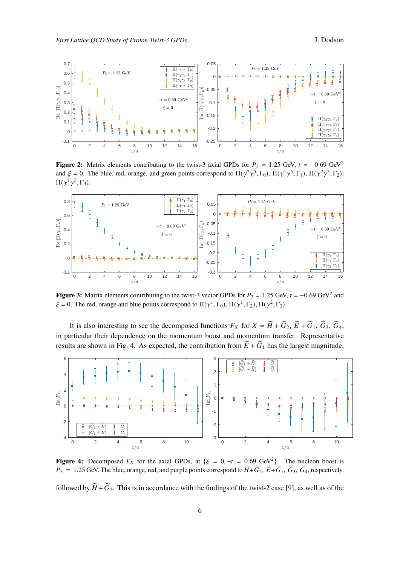<span id="page-5-0"></span>

**Figure 2:** Matrix elements contributing to the twist-3 axial GPDs for  $P_3 = 1.25$  GeV,  $t = -0.69$  GeV<sup>2</sup> and  $\xi = 0$ . The blue, red, orange, and green points correspond to  $\Pi(\gamma^2\gamma^5, \Gamma_0)$ ,  $\Pi(\gamma^1\gamma^5, \Gamma_1)$ ,  $\Pi(\gamma^2\gamma^5, \Gamma_2)$ ,  $\Pi(\gamma^1\gamma^5,\Gamma_3).$ 

<span id="page-5-1"></span>

**Figure 3:** Matrix elements contributing to the twist-3 vector GPDs for  $P_3 = 1.25$  GeV,  $t = -0.69$  GeV<sup>2</sup> and  $\xi = 0$ . The red, orange and blue points correspond to  $\Pi(\gamma^1, \Gamma_0)$ ,  $\Pi(\gamma^1, \Gamma_2)$ ,  $\Pi(\gamma^2, \Gamma_3)$ .

It is also interesting to see the decomposed functions  $F_X$  for  $X = \widetilde{H} + \widetilde{G}_2$ ,  $\widetilde{E} + \widetilde{G}_1$ ,  $\widetilde{G}_3$ ,  $\widetilde{G}_4$ , in particular their dependence on the momentum boost and momentum transfer. Representative results are shown in Fig. [4.](#page-5-2) As expected, the contribution from  $\widetilde{E} + \widetilde{G}_1$  has the largest magnitude,

<span id="page-5-2"></span>

**Figure 4:** Decomposed  $F_X$  for the axial GPDs, at  $\{\xi = 0, -t = 0.69 \text{ GeV}^2\}$ . The nucleon boost is  $P_3 = 1.25$  GeV. The blue, orange, red, and purple points correspond to  $\widetilde{H} + \widetilde{G}_2$ ,  $\widetilde{E} + \widetilde{G}_1$ ,  $\widetilde{G}_3$ ,  $\widetilde{G}_4$ , respectively.

followed by  $H + \tilde{G}_2$ . This is in accordance with the findings of the twist-2 case [\[9\]](#page-8-6), as well as of the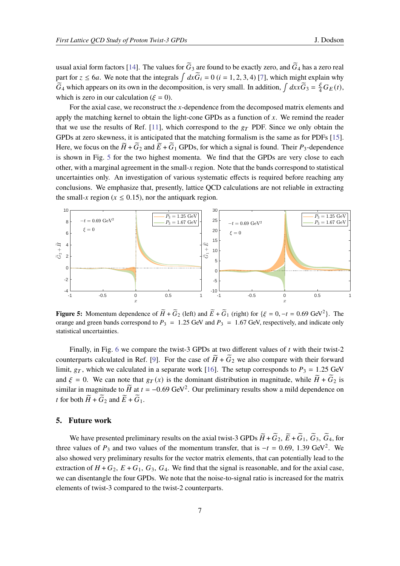usual axial form factors [\[14\]](#page-8-11). The values for  $\tilde{G}_3$  are found to be exactly zero, and  $\tilde{G}_4$  has a zero real part for  $z \le 6a$ . We note that the integrals  $\int dx \tilde{G}_i = 0$   $(i = 1, 2, 3, 4)$  [\[7\]](#page-8-4), which might explain why  $\widetilde{G}_4$  which appears on its own in the decomposition, is very small. In addition,  $\int dx x \widetilde{G}_3 = \frac{\xi}{4} G_E(t)$ , which is zero in our calculation ( $\xi = 0$ ).

For the axial case, we reconstruct the  $x$ -dependence from the decomposed matrix elements and apply the matching kernel to obtain the light-cone GPDs as a function of  $x$ . We remind the reader that we use the results of Ref. [\[11\]](#page-8-8), which correspond to the  $g_T$  PDF. Since we only obtain the GPDs at zero skewness, it is anticipated that the matching formalism is the same as for PDFs [\[15\]](#page-8-12). Here, we focus on the  $\widetilde{H} + \widetilde{G}_2$  and  $\widetilde{E} + \widetilde{G}_1$  GPDs, for which a signal is found. Their  $P_3$ -dependence is shown in Fig. [5](#page-6-0) for the two highest momenta. We find that the GPDs are very close to each other, with a marginal agreement in the small-x region. Note that the bands correspond to statistical uncertainties only. An investigation of various systematic effects is required before reaching any conclusions. We emphasize that, presently, lattice QCD calculations are not reliable in extracting the small-x region ( $x \le 0.15$ ), nor the antiquark region.

<span id="page-6-0"></span>

**Figure 5:** Momentum dependence of  $\widetilde{H} + \widetilde{G}_2$  (left) and  $\widetilde{E} + \widetilde{G}_1$  (right) for  $\{\xi = 0, -t = 0.69 \text{ GeV}^2\}$ . The orange and green bands correspond to  $P_3 = 1.25$  GeV and  $P_3 = 1.67$  GeV, respectively, and indicate only statistical uncertainties.

Finally, in Fig. [6](#page-7-0) we compare the twist-3 GPDs at two different values of  $t$  with their twist-2 counterparts calculated in Ref. [\[9\]](#page-8-6). For the case of  $\widetilde{H} + \widetilde{G}_2$  we also compare with their forward limit,  $g_T$ , which we calculated in a separate work [\[16\]](#page-8-13). The setup corresponds to  $P_3 = 1.25$  GeV and  $\xi = 0$ . We can note that  $g_T(x)$  is the dominant distribution in magnitude, while  $H + \tilde{G}_2$  is similar in magnitude to  $\tilde{H}$  at  $t = -0.69 \text{ GeV}^2$ . Our preliminary results show a mild dependence on t for both  $\widetilde{H}$  +  $\widetilde{G}_2$  and  $\widetilde{E}$  +  $\widetilde{G}_1$ .

## **5. Future work**

We have presented preliminary results on the axial twist-3 GPDs  $\tilde{H} + \tilde{G}_2$ ,  $\tilde{E} + \tilde{G}_1$ ,  $\tilde{G}_3$ ,  $\tilde{G}_4$ , for three values of  $P_3$  and two values of the momentum transfer, that is  $-t = 0.69, 1.39 \text{ GeV}^2$ . We also showed very preliminary results for the vector matrix elements, that can potentially lead to the extraction of  $H + G_2$ ,  $E + G_1$ ,  $G_3$ ,  $G_4$ . We find that the signal is reasonable, and for the axial case, we can disentangle the four GPDs. We note that the noise-to-signal ratio is increased for the matrix elements of twist-3 compared to the twist-2 counterparts.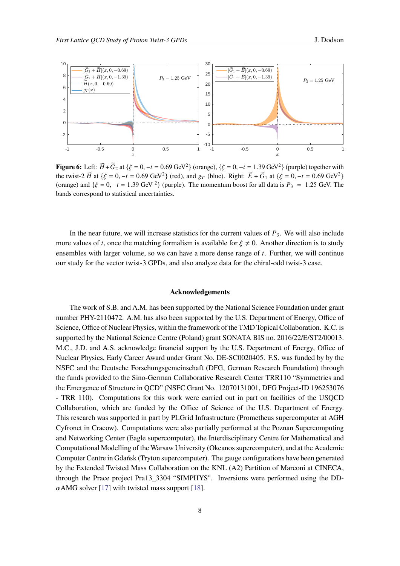<span id="page-7-0"></span>

**Figure 6:** Left:  $\widetilde{H} + \widetilde{G}_2$  at { $\xi = 0, -t = 0.69$  GeV<sup>2</sup>} (orange), { $\xi = 0, -t = 1.39$  GeV<sup>2</sup>} (purple) together with the twist-2  $\tilde{H}$  at { $\xi = 0, -t = 0.69$  GeV<sup>2</sup>} (red), and  $g_T$  (blue). Right:  $\tilde{E} + \tilde{G}_1$  at { $\xi = 0, -t = 0.69$  GeV<sup>2</sup>} (orange) and  $\{\xi = 0, -t = 1.39 \text{ GeV }^2\}$  (purple). The momentum boost for all data is  $P_3 = 1.25 \text{ GeV}$ . The bands correspond to statistical uncertainties.

In the near future, we will increase statistics for the current values of  $P_3$ . We will also include more values of t, once the matching formalism is available for  $\xi \neq 0$ . Another direction is to study ensembles with larger volume, so we can have a more dense range of  $t$ . Further, we will continue our study for the vector twist-3 GPDs, and also analyze data for the chiral-odd twist-3 case.

#### **Acknowledgements**

The work of S.B. and A.M. has been supported by the National Science Foundation under grant number PHY-2110472. A.M. has also been supported by the U.S. Department of Energy, Office of Science, Office of Nuclear Physics, within the framework of the TMD Topical Collaboration. K.C. is supported by the National Science Centre (Poland) grant SONATA BIS no. 2016/22/E/ST2/00013. M.C., J.D. and A.S. acknowledge financial support by the U.S. Department of Energy, Office of Nuclear Physics, Early Career Award under Grant No. DE-SC0020405. F.S. was funded by by the NSFC and the Deutsche Forschungsgemeinschaft (DFG, German Research Foundation) through the funds provided to the Sino-German Collaborative Research Center TRR110 "Symmetries and the Emergence of Structure in QCD" (NSFC Grant No. 12070131001, DFG Project-ID 196253076 - TRR 110). Computations for this work were carried out in part on facilities of the USQCD Collaboration, which are funded by the Office of Science of the U.S. Department of Energy. This research was supported in part by PLGrid Infrastructure (Prometheus supercomputer at AGH Cyfronet in Cracow). Computations were also partially performed at the Poznan Supercomputing and Networking Center (Eagle supercomputer), the Interdisciplinary Centre for Mathematical and Computational Modelling of the Warsaw University (Okeanos supercomputer), and at the Academic Computer Centre in Gdańsk (Tryton supercomputer). The gauge configurations have been generated by the Extended Twisted Mass Collaboration on the KNL (A2) Partition of Marconi at CINECA, through the Prace project Pra13\_3304 "SIMPHYS". Inversions were performed using the DD-  $\alpha$ AMG solver [\[17\]](#page-8-14) with twisted mass support [\[18\]](#page-8-15).